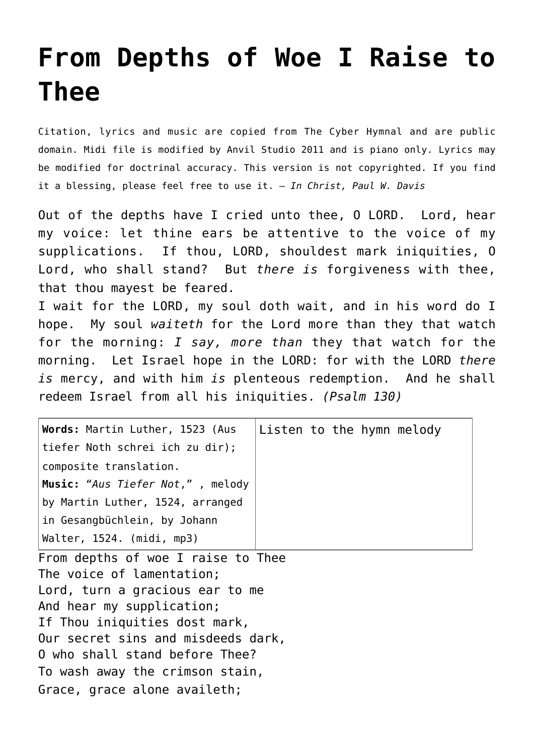## **[From Depths of Woe I Raise to](http://reproachofmen.org/hymns-and-music/from-depths-of-woe-i-raise-to-thee/) [Thee](http://reproachofmen.org/hymns-and-music/from-depths-of-woe-i-raise-to-thee/)**

Citation, lyrics and music are copied from [The Cyber Hymnal](http://www.hymntime.com/tch/) and are public domain. Midi file is modified by [Anvil Studio 2011](http://www.anvilstudio.com/) and is piano only. Lyrics may be modified for doctrinal accuracy. This version is not copyrighted. If you find it a blessing, please feel free to use it. — *In Christ, Paul W. Davis*

Out of the depths have I cried unto thee, O LORD. Lord, hear my voice: let thine ears be attentive to the voice of my supplications. If thou, LORD, shouldest mark iniquities, O Lord, who shall stand? But *there is* forgiveness with thee, that thou mayest be feared.

I wait for the LORD, my soul doth wait, and in his word do I hope. My soul *waiteth* for the Lord more than they that watch for the morning: *I say, more than* they that watch for the morning. Let Israel hope in the LORD: for with the LORD *there is* mercy, and with him *is* plenteous redemption. And he shall redeem Israel from all his iniquities. *(Psalm 130)*

| Words: Martin Luther, 1523 (Aus  | Listen to the hymn melody |
|----------------------------------|---------------------------|
| tiefer Noth schrei ich zu dir);  |                           |
| composite translation.           |                           |
| Music: "Aus Tiefer Not,", melody |                           |
| by Martin Luther, 1524, arranged |                           |
| in Gesangbüchlein, by Johann     |                           |
| Walter, 1524. (midi, mp3)        |                           |

From depths of woe I raise to Thee The voice of lamentation; Lord, turn a gracious ear to me And hear my supplication; If Thou iniquities dost mark, Our secret sins and misdeeds dark, O who shall stand before Thee? To wash away the crimson stain, Grace, grace alone availeth;